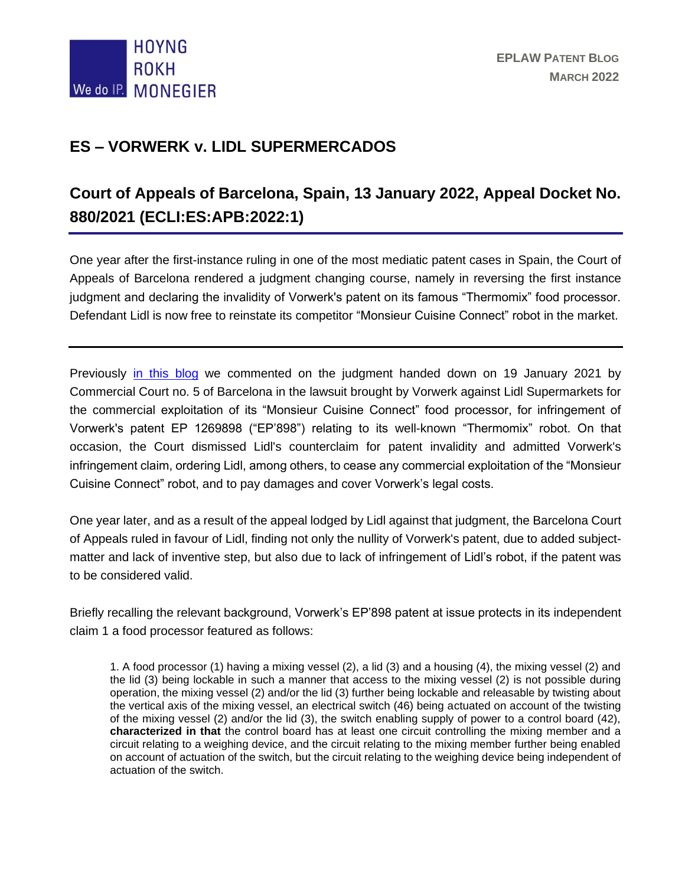

## **ES – VORWERK v. LIDL SUPERMERCADOS**

# **Court of Appeals of Barcelona, Spain, 13 January 2022, Appeal Docket No. 880/2021 (ECLI:ES:APB:2022:1)**

One year after the first-instance ruling in one of the most mediatic patent cases in Spain, the Court of Appeals of Barcelona rendered a judgment changing course, namely in reversing the first instance judgment and declaring the invalidity of Vorwerk's patent on its famous "Thermomix" food processor. Defendant Lidl is now free to reinstate its competitor "Monsieur Cuisine Connect" robot in the market.

Previously [in this blog](http://eplaw.org/es-vorwerk-v-lidl-supermercados/) we commented on the judgment handed down on 19 January 2021 by Commercial Court no. 5 of Barcelona in the lawsuit brought by Vorwerk against Lidl Supermarkets for the commercial exploitation of its "Monsieur Cuisine Connect" food processor, for infringement of Vorwerk's patent EP 1269898 ("EP'898") relating to its well-known "Thermomix" robot. On that occasion, the Court dismissed Lidl's counterclaim for patent invalidity and admitted Vorwerk's infringement claim, ordering Lidl, among others, to cease any commercial exploitation of the "Monsieur Cuisine Connect" robot, and to pay damages and cover Vorwerk's legal costs.

One year later, and as a result of the appeal lodged by Lidl against that judgment, the Barcelona Court of Appeals ruled in favour of Lidl, finding not only the nullity of Vorwerk's patent, due to added subjectmatter and lack of inventive step, but also due to lack of infringement of Lidl's robot, if the patent was to be considered valid.

Briefly recalling the relevant background, Vorwerk's EP'898 patent at issue protects in its independent claim 1 a food processor featured as follows:

1. A food processor (1) having a mixing vessel (2), a lid (3) and a housing (4), the mixing vessel (2) and the lid (3) being lockable in such a manner that access to the mixing vessel (2) is not possible during operation, the mixing vessel (2) and/or the lid (3) further being lockable and releasable by twisting about the vertical axis of the mixing vessel, an electrical switch (46) being actuated on account of the twisting of the mixing vessel (2) and/or the lid (3), the switch enabling supply of power to a control board (42), **characterized in that** the control board has at least one circuit controlling the mixing member and a circuit relating to a weighing device, and the circuit relating to the mixing member further being enabled on account of actuation of the switch, but the circuit relating to the weighing device being independent of actuation of the switch.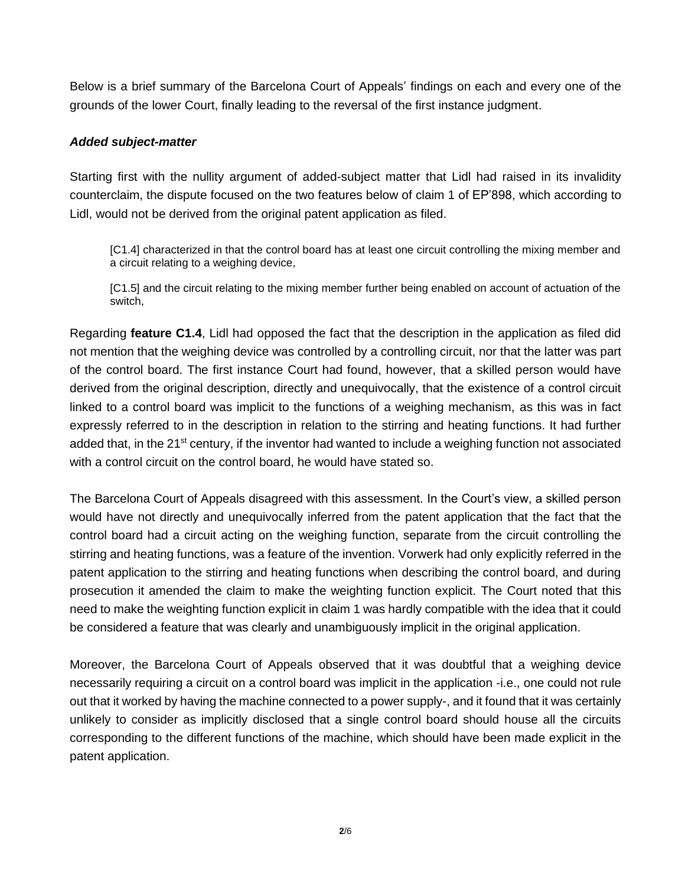Below is a brief summary of the Barcelona Court of Appeals' findings on each and every one of the grounds of the lower Court, finally leading to the reversal of the first instance judgment.

#### *Added subject-matter*

Starting first with the nullity argument of added-subject matter that Lidl had raised in its invalidity counterclaim, the dispute focused on the two features below of claim 1 of EP'898, which according to Lidl, would not be derived from the original patent application as filed.

[C1.4] characterized in that the control board has at least one circuit controlling the mixing member and a circuit relating to a weighing device,

[C1.5] and the circuit relating to the mixing member further being enabled on account of actuation of the switch,

Regarding **feature C1.4**, Lidl had opposed the fact that the description in the application as filed did not mention that the weighing device was controlled by a controlling circuit, nor that the latter was part of the control board. The first instance Court had found, however, that a skilled person would have derived from the original description, directly and unequivocally, that the existence of a control circuit linked to a control board was implicit to the functions of a weighing mechanism, as this was in fact expressly referred to in the description in relation to the stirring and heating functions. It had further added that, in the 21<sup>st</sup> century, if the inventor had wanted to include a weighing function not associated with a control circuit on the control board, he would have stated so.

The Barcelona Court of Appeals disagreed with this assessment. In the Court's view, a skilled person would have not directly and unequivocally inferred from the patent application that the fact that the control board had a circuit acting on the weighing function, separate from the circuit controlling the stirring and heating functions, was a feature of the invention. Vorwerk had only explicitly referred in the patent application to the stirring and heating functions when describing the control board, and during prosecution it amended the claim to make the weighting function explicit. The Court noted that this need to make the weighting function explicit in claim 1 was hardly compatible with the idea that it could be considered a feature that was clearly and unambiguously implicit in the original application.

Moreover, the Barcelona Court of Appeals observed that it was doubtful that a weighing device necessarily requiring a circuit on a control board was implicit in the application -i.e., one could not rule out that it worked by having the machine connected to a power supply-, and it found that it was certainly unlikely to consider as implicitly disclosed that a single control board should house all the circuits corresponding to the different functions of the machine, which should have been made explicit in the patent application.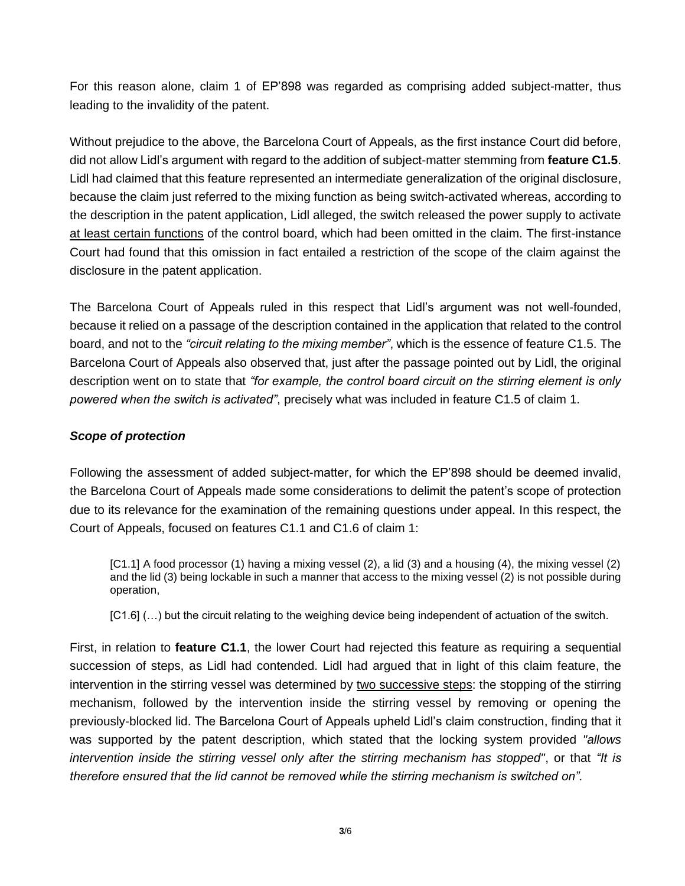For this reason alone, claim 1 of EP'898 was regarded as comprising added subject-matter, thus leading to the invalidity of the patent.

Without prejudice to the above, the Barcelona Court of Appeals, as the first instance Court did before, did not allow Lidl's argument with regard to the addition of subject-matter stemming from **feature C1.5**. Lidl had claimed that this feature represented an intermediate generalization of the original disclosure, because the claim just referred to the mixing function as being switch-activated whereas, according to the description in the patent application, Lidl alleged, the switch released the power supply to activate at least certain functions of the control board, which had been omitted in the claim. The first-instance Court had found that this omission in fact entailed a restriction of the scope of the claim against the disclosure in the patent application.

The Barcelona Court of Appeals ruled in this respect that Lidl's argument was not well-founded, because it relied on a passage of the description contained in the application that related to the control board, and not to the *"circuit relating to the mixing member"*, which is the essence of feature C1.5. The Barcelona Court of Appeals also observed that, just after the passage pointed out by Lidl, the original description went on to state that *"for example, the control board circuit on the stirring element is only powered when the switch is activated"*, precisely what was included in feature C1.5 of claim 1.

#### *Scope of protection*

Following the assessment of added subject-matter, for which the EP'898 should be deemed invalid, the Barcelona Court of Appeals made some considerations to delimit the patent's scope of protection due to its relevance for the examination of the remaining questions under appeal. In this respect, the Court of Appeals, focused on features C1.1 and C1.6 of claim 1:

[C1.1] A food processor (1) having a mixing vessel (2), a lid (3) and a housing (4), the mixing vessel (2) and the lid (3) being lockable in such a manner that access to the mixing vessel (2) is not possible during operation,

[C1.6]  $(...)$  but the circuit relating to the weighing device being independent of actuation of the switch.

First, in relation to **feature C1.1**, the lower Court had rejected this feature as requiring a sequential succession of steps, as Lidl had contended. Lidl had argued that in light of this claim feature, the intervention in the stirring vessel was determined by two successive steps: the stopping of the stirring mechanism, followed by the intervention inside the stirring vessel by removing or opening the previously-blocked lid. The Barcelona Court of Appeals upheld Lidl's claim construction, finding that it was supported by the patent description, which stated that the locking system provided *"allows intervention inside the stirring vessel only after the stirring mechanism has stopped"*, or that *"It is therefore ensured that the lid cannot be removed while the stirring mechanism is switched on".*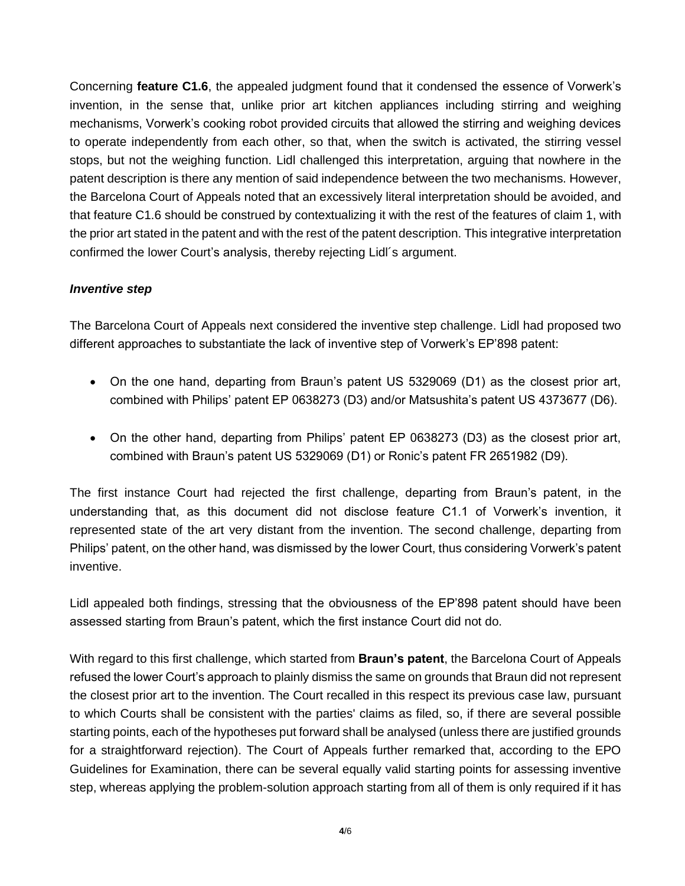Concerning **feature C1.6**, the appealed judgment found that it condensed the essence of Vorwerk's invention, in the sense that, unlike prior art kitchen appliances including stirring and weighing mechanisms, Vorwerk's cooking robot provided circuits that allowed the stirring and weighing devices to operate independently from each other, so that, when the switch is activated, the stirring vessel stops, but not the weighing function. Lidl challenged this interpretation, arguing that nowhere in the patent description is there any mention of said independence between the two mechanisms. However, the Barcelona Court of Appeals noted that an excessively literal interpretation should be avoided, and that feature C1.6 should be construed by contextualizing it with the rest of the features of claim 1, with the prior art stated in the patent and with the rest of the patent description. This integrative interpretation confirmed the lower Court's analysis, thereby rejecting Lidl´s argument.

#### *Inventive step*

The Barcelona Court of Appeals next considered the inventive step challenge. Lidl had proposed two different approaches to substantiate the lack of inventive step of Vorwerk's EP'898 patent:

- On the one hand, departing from Braun's patent US 5329069 (D1) as the closest prior art, combined with Philips' patent EP 0638273 (D3) and/or Matsushita's patent US 4373677 (D6).
- On the other hand, departing from Philips' patent EP 0638273 (D3) as the closest prior art, combined with Braun's patent US 5329069 (D1) or Ronic's patent FR 2651982 (D9).

The first instance Court had rejected the first challenge, departing from Braun's patent, in the understanding that, as this document did not disclose feature C1.1 of Vorwerk's invention, it represented state of the art very distant from the invention. The second challenge, departing from Philips' patent, on the other hand, was dismissed by the lower Court, thus considering Vorwerk's patent inventive.

Lidl appealed both findings, stressing that the obviousness of the EP'898 patent should have been assessed starting from Braun's patent, which the first instance Court did not do.

With regard to this first challenge, which started from **Braun's patent**, the Barcelona Court of Appeals refused the lower Court's approach to plainly dismiss the same on grounds that Braun did not represent the closest prior art to the invention. The Court recalled in this respect its previous case law, pursuant to which Courts shall be consistent with the parties' claims as filed, so, if there are several possible starting points, each of the hypotheses put forward shall be analysed (unless there are justified grounds for a straightforward rejection). The Court of Appeals further remarked that, according to the EPO Guidelines for Examination, there can be several equally valid starting points for assessing inventive step, whereas applying the problem-solution approach starting from all of them is only required if it has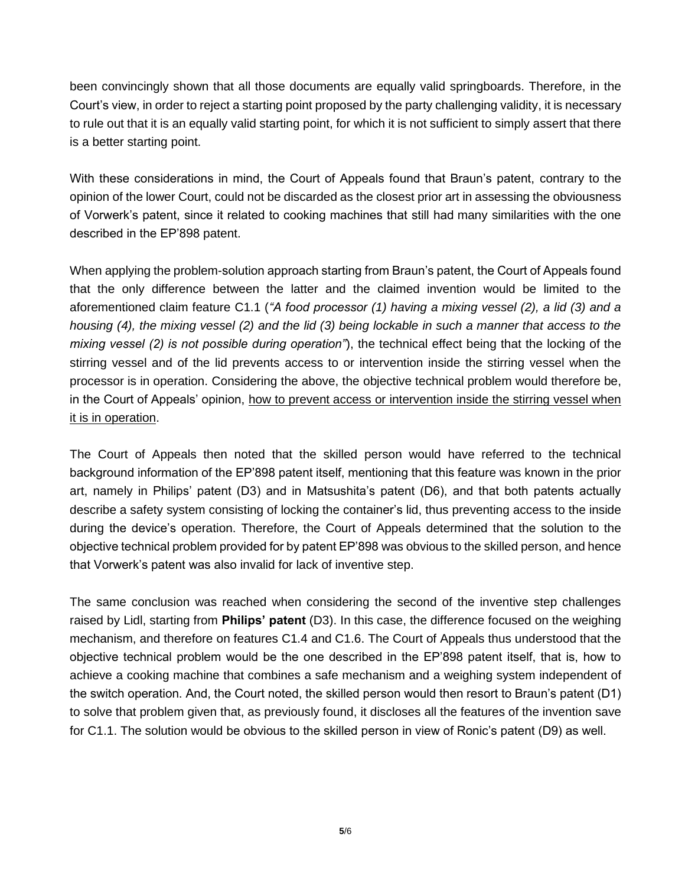been convincingly shown that all those documents are equally valid springboards. Therefore, in the Court's view, in order to reject a starting point proposed by the party challenging validity, it is necessary to rule out that it is an equally valid starting point, for which it is not sufficient to simply assert that there is a better starting point.

With these considerations in mind, the Court of Appeals found that Braun's patent, contrary to the opinion of the lower Court, could not be discarded as the closest prior art in assessing the obviousness of Vorwerk's patent, since it related to cooking machines that still had many similarities with the one described in the EP'898 patent.

When applying the problem-solution approach starting from Braun's patent, the Court of Appeals found that the only difference between the latter and the claimed invention would be limited to the aforementioned claim feature C1.1 (*"A food processor (1) having a mixing vessel (2), a lid (3) and a housing (4), the mixing vessel (2) and the lid (3) being lockable in such a manner that access to the mixing vessel (2) is not possible during operation"*), the technical effect being that the locking of the stirring vessel and of the lid prevents access to or intervention inside the stirring vessel when the processor is in operation. Considering the above, the objective technical problem would therefore be, in the Court of Appeals' opinion, how to prevent access or intervention inside the stirring vessel when it is in operation.

The Court of Appeals then noted that the skilled person would have referred to the technical background information of the EP'898 patent itself, mentioning that this feature was known in the prior art, namely in Philips' patent (D3) and in Matsushita's patent (D6), and that both patents actually describe a safety system consisting of locking the container's lid, thus preventing access to the inside during the device's operation. Therefore, the Court of Appeals determined that the solution to the objective technical problem provided for by patent EP'898 was obvious to the skilled person, and hence that Vorwerk's patent was also invalid for lack of inventive step.

The same conclusion was reached when considering the second of the inventive step challenges raised by Lidl, starting from **Philips' patent** (D3). In this case, the difference focused on the weighing mechanism, and therefore on features C1.4 and C1.6. The Court of Appeals thus understood that the objective technical problem would be the one described in the EP'898 patent itself, that is, how to achieve a cooking machine that combines a safe mechanism and a weighing system independent of the switch operation. And, the Court noted, the skilled person would then resort to Braun's patent (D1) to solve that problem given that, as previously found, it discloses all the features of the invention save for C1.1. The solution would be obvious to the skilled person in view of Ronic's patent (D9) as well.